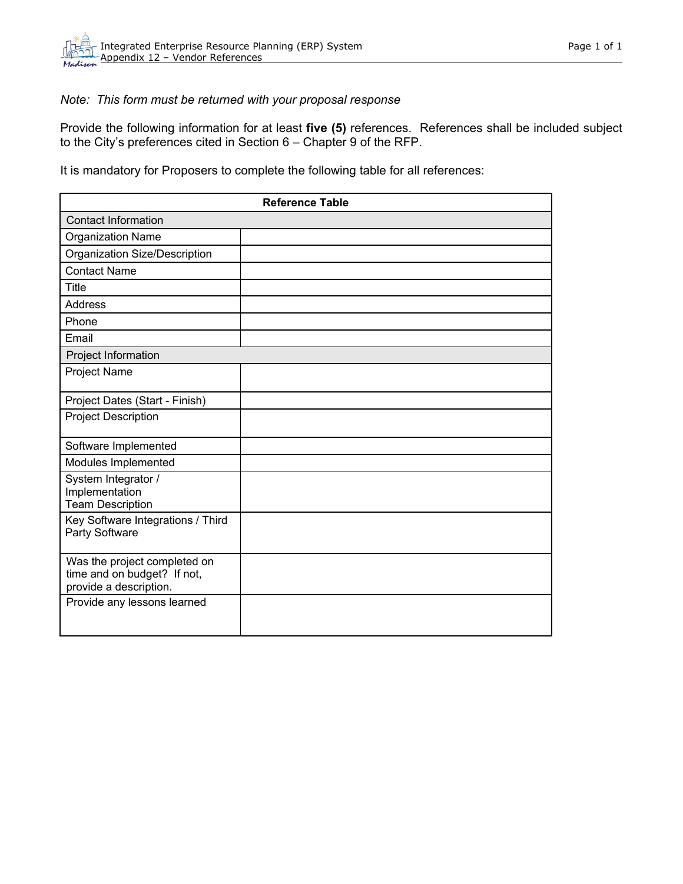## *Note: This form must be returned with your proposal response*

Provide the following information for at least **five (5)** references. References shall be included subject to the City's preferences cited in Section 6 – Chapter 9 of the RFP.

It is mandatory for Proposers to complete the following table for all references:

| <b>Reference Table</b>                                                                |  |  |
|---------------------------------------------------------------------------------------|--|--|
| <b>Contact Information</b>                                                            |  |  |
| <b>Organization Name</b>                                                              |  |  |
| Organization Size/Description                                                         |  |  |
| <b>Contact Name</b>                                                                   |  |  |
| <b>Title</b>                                                                          |  |  |
| <b>Address</b>                                                                        |  |  |
| Phone                                                                                 |  |  |
| Email                                                                                 |  |  |
| Project Information                                                                   |  |  |
| Project Name                                                                          |  |  |
| Project Dates (Start - Finish)                                                        |  |  |
| <b>Project Description</b>                                                            |  |  |
| Software Implemented                                                                  |  |  |
| Modules Implemented                                                                   |  |  |
| System Integrator /<br>Implementation<br><b>Team Description</b>                      |  |  |
| Key Software Integrations / Third<br>Party Software                                   |  |  |
| Was the project completed on<br>time and on budget? If not,<br>provide a description. |  |  |
| Provide any lessons learned                                                           |  |  |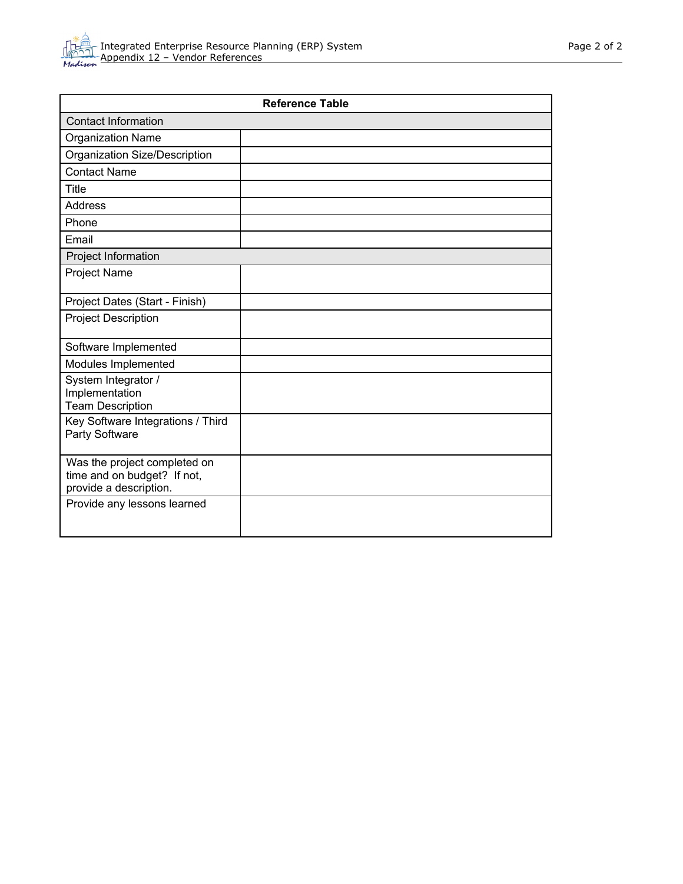

| <b>Reference Table</b>                                                                |  |  |
|---------------------------------------------------------------------------------------|--|--|
| <b>Contact Information</b>                                                            |  |  |
| <b>Organization Name</b>                                                              |  |  |
| Organization Size/Description                                                         |  |  |
| <b>Contact Name</b>                                                                   |  |  |
| <b>Title</b>                                                                          |  |  |
| <b>Address</b>                                                                        |  |  |
| Phone                                                                                 |  |  |
| Email                                                                                 |  |  |
| Project Information                                                                   |  |  |
| <b>Project Name</b>                                                                   |  |  |
| Project Dates (Start - Finish)                                                        |  |  |
| <b>Project Description</b>                                                            |  |  |
| Software Implemented                                                                  |  |  |
| Modules Implemented                                                                   |  |  |
| System Integrator /<br>Implementation<br><b>Team Description</b>                      |  |  |
| Key Software Integrations / Third<br>Party Software                                   |  |  |
| Was the project completed on<br>time and on budget? If not,<br>provide a description. |  |  |
| Provide any lessons learned                                                           |  |  |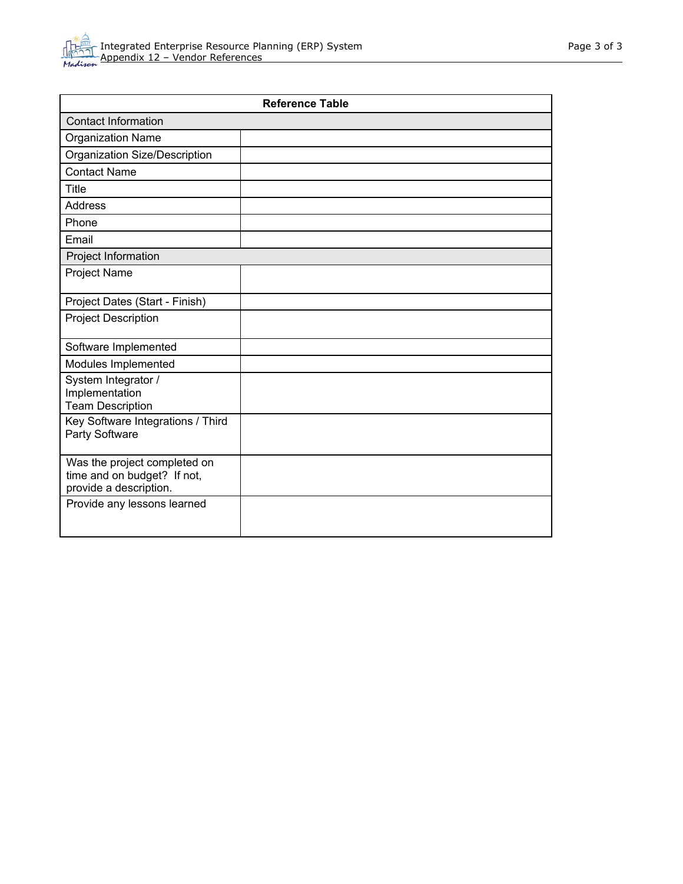

| <b>Reference Table</b>                                                                |  |  |
|---------------------------------------------------------------------------------------|--|--|
| <b>Contact Information</b>                                                            |  |  |
| <b>Organization Name</b>                                                              |  |  |
| Organization Size/Description                                                         |  |  |
| <b>Contact Name</b>                                                                   |  |  |
| <b>Title</b>                                                                          |  |  |
| <b>Address</b>                                                                        |  |  |
| Phone                                                                                 |  |  |
| Email                                                                                 |  |  |
| Project Information                                                                   |  |  |
| <b>Project Name</b>                                                                   |  |  |
| Project Dates (Start - Finish)                                                        |  |  |
| <b>Project Description</b>                                                            |  |  |
| Software Implemented                                                                  |  |  |
| Modules Implemented                                                                   |  |  |
| System Integrator /<br>Implementation<br><b>Team Description</b>                      |  |  |
| Key Software Integrations / Third<br>Party Software                                   |  |  |
| Was the project completed on<br>time and on budget? If not,<br>provide a description. |  |  |
| Provide any lessons learned                                                           |  |  |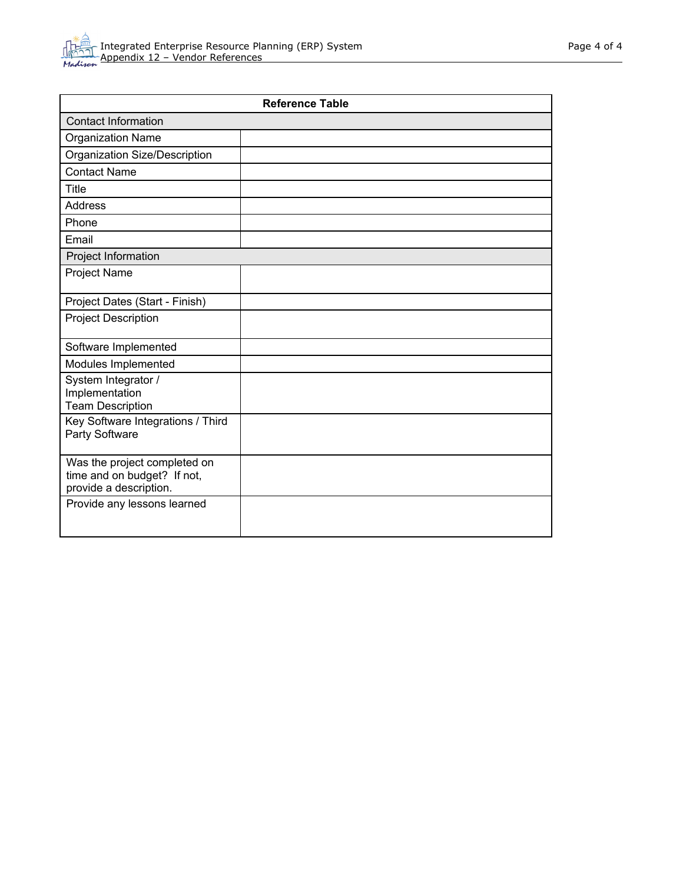

| <b>Reference Table</b>                                                                |  |  |
|---------------------------------------------------------------------------------------|--|--|
| <b>Contact Information</b>                                                            |  |  |
| <b>Organization Name</b>                                                              |  |  |
| Organization Size/Description                                                         |  |  |
| <b>Contact Name</b>                                                                   |  |  |
| <b>Title</b>                                                                          |  |  |
| <b>Address</b>                                                                        |  |  |
| Phone                                                                                 |  |  |
| Email                                                                                 |  |  |
| Project Information                                                                   |  |  |
| Project Name                                                                          |  |  |
| Project Dates (Start - Finish)                                                        |  |  |
| <b>Project Description</b>                                                            |  |  |
| Software Implemented                                                                  |  |  |
| Modules Implemented                                                                   |  |  |
| System Integrator /<br>Implementation<br><b>Team Description</b>                      |  |  |
| Key Software Integrations / Third<br>Party Software                                   |  |  |
| Was the project completed on<br>time and on budget? If not,<br>provide a description. |  |  |
| Provide any lessons learned                                                           |  |  |